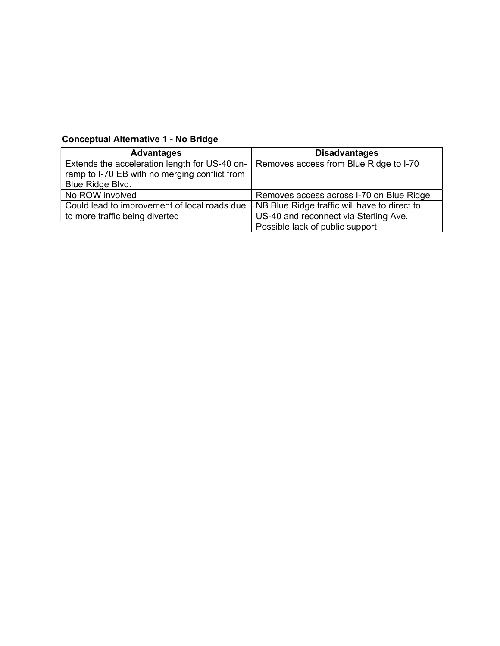## Conceptual Alternative 1 - No Bridge

| <b>Advantages</b>                                                                              | <b>Disadvantages</b>                         |
|------------------------------------------------------------------------------------------------|----------------------------------------------|
| Extends the acceleration length for US-40 on-<br>ramp to I-70 EB with no merging conflict from | Removes access from Blue Ridge to I-70       |
|                                                                                                |                                              |
| Blue Ridge Blvd.                                                                               |                                              |
| No ROW involved                                                                                | Removes access across I-70 on Blue Ridge     |
| Could lead to improvement of local roads due                                                   | NB Blue Ridge traffic will have to direct to |
| to more traffic being diverted                                                                 | US-40 and reconnect via Sterling Ave.        |
|                                                                                                | Possible lack of public support              |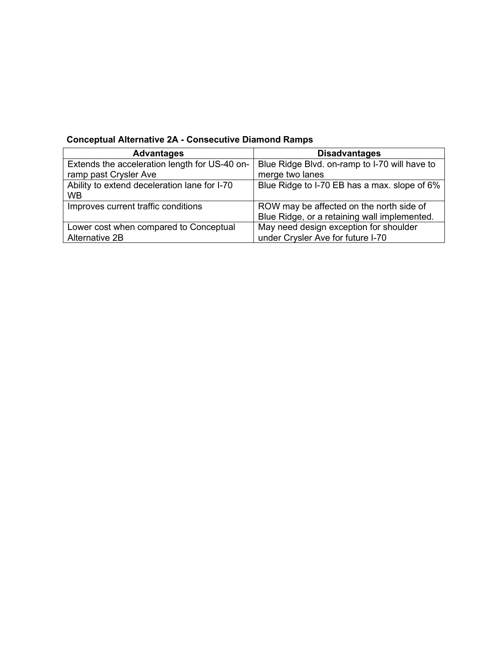| <b>Advantages</b>                             | <b>Disadvantages</b>                          |
|-----------------------------------------------|-----------------------------------------------|
| Extends the acceleration length for US-40 on- | Blue Ridge Blvd. on-ramp to I-70 will have to |
| ramp past Crysler Ave                         | merge two lanes                               |
| Ability to extend deceleration lane for I-70  | Blue Ridge to I-70 EB has a max. slope of 6%  |
| WВ                                            |                                               |
| Improves current traffic conditions           | ROW may be affected on the north side of      |
|                                               | Blue Ridge, or a retaining wall implemented.  |
| Lower cost when compared to Conceptual        | May need design exception for shoulder        |
| Alternative 2B                                | under Crysler Ave for future I-70             |

## **Conceptual Alternative 2A - Consecutive Diamond Ramps**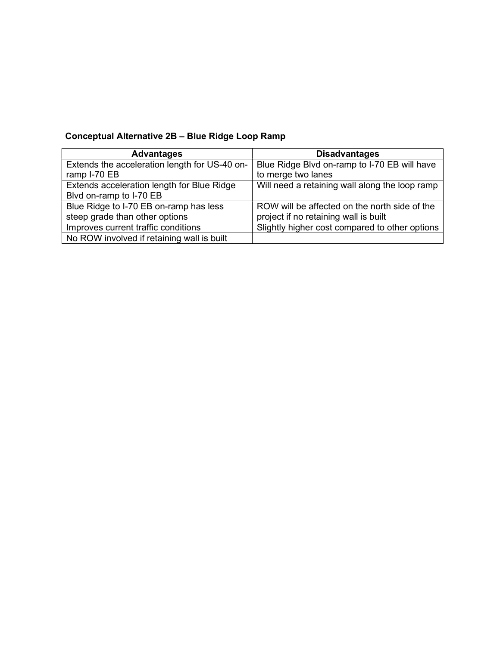# Conceptual Alternative 2B – Blue Ridge Loop Ramp

| <b>Advantages</b>                             | <b>Disadvantages</b>                           |
|-----------------------------------------------|------------------------------------------------|
| Extends the acceleration length for US-40 on- | Blue Ridge Blvd on-ramp to I-70 EB will have   |
| ramp I-70 EB                                  | to merge two lanes                             |
| Extends acceleration length for Blue Ridge    | Will need a retaining wall along the loop ramp |
| Blvd on-ramp to I-70 EB                       |                                                |
| Blue Ridge to I-70 EB on-ramp has less        | ROW will be affected on the north side of the  |
| steep grade than other options                | project if no retaining wall is built          |
| Improves current traffic conditions           | Slightly higher cost compared to other options |
| No ROW involved if retaining wall is built    |                                                |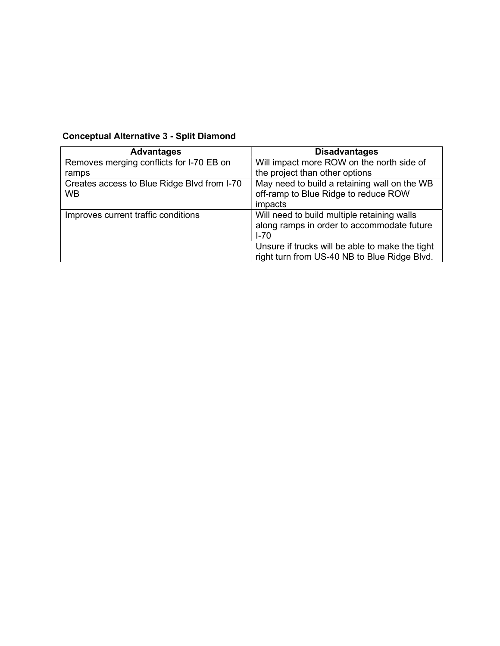# Conceptual Alternative 3 - Split Diamond

| <b>Advantages</b>                           | <b>Disadvantages</b>                            |
|---------------------------------------------|-------------------------------------------------|
| Removes merging conflicts for I-70 EB on    | Will impact more ROW on the north side of       |
| ramps                                       | the project than other options                  |
| Creates access to Blue Ridge Blvd from I-70 | May need to build a retaining wall on the WB    |
| <b>WB</b>                                   | off-ramp to Blue Ridge to reduce ROW            |
|                                             | impacts                                         |
| Improves current traffic conditions         | Will need to build multiple retaining walls     |
|                                             | along ramps in order to accommodate future      |
|                                             | $I - 70$                                        |
|                                             | Unsure if trucks will be able to make the tight |
|                                             | right turn from US-40 NB to Blue Ridge Blvd.    |